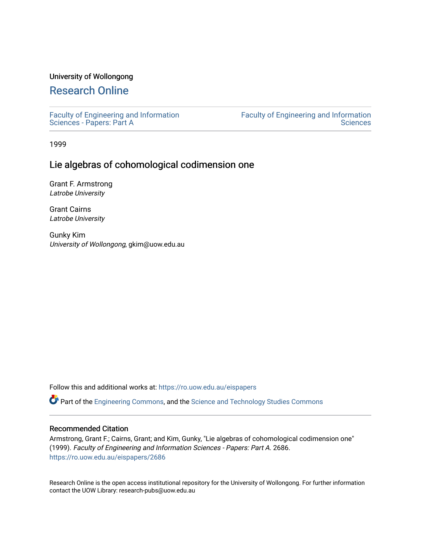### University of Wollongong

# [Research Online](https://ro.uow.edu.au/)

[Faculty of Engineering and Information](https://ro.uow.edu.au/eispapers)  [Sciences - Papers: Part A](https://ro.uow.edu.au/eispapers) 

[Faculty of Engineering and Information](https://ro.uow.edu.au/eis)  **Sciences** 

1999

## Lie algebras of cohomological codimension one

Grant F. Armstrong Latrobe University

Grant Cairns Latrobe University

Gunky Kim University of Wollongong, gkim@uow.edu.au

Follow this and additional works at: [https://ro.uow.edu.au/eispapers](https://ro.uow.edu.au/eispapers?utm_source=ro.uow.edu.au%2Feispapers%2F2686&utm_medium=PDF&utm_campaign=PDFCoverPages)

Part of the [Engineering Commons](http://network.bepress.com/hgg/discipline/217?utm_source=ro.uow.edu.au%2Feispapers%2F2686&utm_medium=PDF&utm_campaign=PDFCoverPages), and the [Science and Technology Studies Commons](http://network.bepress.com/hgg/discipline/435?utm_source=ro.uow.edu.au%2Feispapers%2F2686&utm_medium=PDF&utm_campaign=PDFCoverPages)

### Recommended Citation

Armstrong, Grant F.; Cairns, Grant; and Kim, Gunky, "Lie algebras of cohomological codimension one" (1999). Faculty of Engineering and Information Sciences - Papers: Part A. 2686. [https://ro.uow.edu.au/eispapers/2686](https://ro.uow.edu.au/eispapers/2686?utm_source=ro.uow.edu.au%2Feispapers%2F2686&utm_medium=PDF&utm_campaign=PDFCoverPages) 

Research Online is the open access institutional repository for the University of Wollongong. For further information contact the UOW Library: research-pubs@uow.edu.au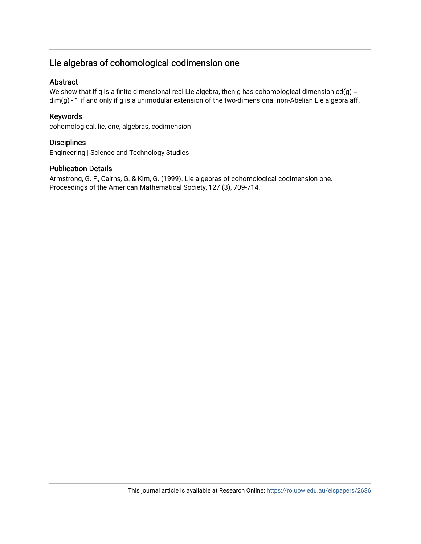# Lie algebras of cohomological codimension one

### Abstract

We show that if g is a finite dimensional real Lie algebra, then g has cohomological dimension  $cd(g)$  = dim(g) - 1 if and only if g is a unimodular extension of the two-dimensional non-Abelian Lie algebra aff.

### Keywords

cohomological, lie, one, algebras, codimension

### **Disciplines**

Engineering | Science and Technology Studies

### Publication Details

Armstrong, G. F., Cairns, G. & Kim, G. (1999). Lie algebras of cohomological codimension one. Proceedings of the American Mathematical Society, 127 (3), 709-714.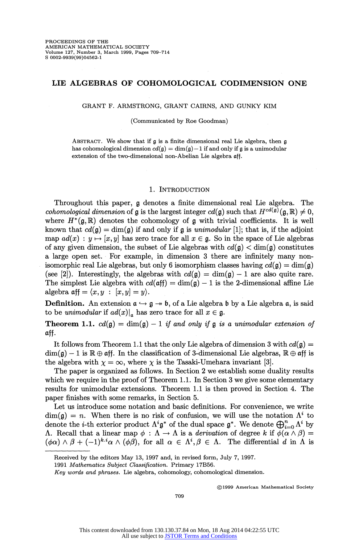### **LIE ALGEBRAS OF COHOMOLOGICAL CODIMENSION ONE**

**GRANT F. ARMSTRONG, GRANT CAIRNS, AND GUNKY KIM** 

**(Communicated by Roe Goodman)** 

**ABSTRACT. We show that if g is a finite dimensional real Lie algebra, then g**  has cohomological dimension  $cd(\mathfrak{g}) = \dim(\mathfrak{g}) - 1$  if and only if  $\mathfrak{g}$  is a unimodular **extension of the two-dimensional non-Abelian Lie algebra aff.** 

#### **1. INTRODUCTION**

**Throughout this paper, g denotes a finite dimensional real Lie algebra. The**  *cohomological dimension* **of <b>g** is the largest integer  $cd(\mathfrak{g})$  such that  $H^{cd(\mathfrak{g})}(\mathfrak{g}, \mathbb{R}) \neq 0$ , where  $H^*(\mathfrak{g},\mathbb{R})$  denotes the cohomology of  $\mathfrak{g}$  with trivial coefficients. It is well known that  $cd(\mathfrak{g}) = \dim(\mathfrak{g})$  if and only if  $\mathfrak{g}$  is unimodular [1]; that is, if the adjoint **map**  $ad(x) : y \mapsto [x, y]$  has zero trace for all  $x \in \mathfrak{g}$ . So in the space of Lie algebras of any given dimension, the subset of Lie algebras with  $cd(\mathfrak{g}) < dim(\mathfrak{g})$  constitutes **a large open set. For example, in dimension 3 there are infinitely many nonisomorphic real Lie algebras, but only 6 isomorphism classes having**  $cd(\mathfrak{g}) = \dim(\mathfrak{g})$ (see [2]). Interestingly, the algebras with  $cd(\mathfrak{g}) = \dim(\mathfrak{g}) - 1$  are also quite rare. The simplest Lie algebra with  $cd(\text{aff}) = \dim(\mathfrak{g}) - 1$  is the 2-dimensional affine Lie  $\text{algebra } \text{aff} = \langle x, y : [x, y] = y \rangle.$ 

**Definition.** An extension  $a \leftrightarrow g \rightarrow b$ , of a Lie algebra b by a Lie algebra a, is said to be unimodular if  $ad(x)|_a$  has zero trace for all  $x \in \mathfrak{g}$ .

**Theorem 1.1.**  $cd(\mathfrak{g}) = \dim(\mathfrak{g}) - 1$  if and only if  $\mathfrak{g}$  is a unimodular extension of **aff.** 

It follows from Theorem 1.1 that the only Lie algebra of dimension 3 with  $cd(\mathfrak{g}) =$  $\dim(\mathfrak{g}) - 1$  is  $\mathbb{R} \oplus \text{aff.}$  In the classification of 3-dimensional Lie algebras,  $\mathbb{R} \oplus \text{aff}$  is the algebra with  $\chi = \infty$ , where  $\chi$  is the Tasaki-Umehara invariant [3].

**The paper is organized as follows. In Section 2 we establish some duality results**  which we require in the proof of Theorem 1.1. In Section 3 we give some elementary **results for unimodular extensions. Theorem 1.1 is then proved in Section 4. The paper finishes with some remarks, in Section 5.** 

**Let us introduce some notation and basic definitions. For convenience, we write**   $\dim(\mathfrak{g}) = n$ . When there is no risk of confusion, we will use the notation  $\Lambda^i$  to denote the *i*-th exterior product  $\Lambda^i \mathfrak{g}^*$  of the dual space  $\mathfrak{g}^*$ . We denote  $\bigoplus_{i=0}^n \Lambda^i$  by **A.** Recall that a linear map  $\phi : \Lambda \to \Lambda$  is a derivation of degree k if  $\phi(\alpha \wedge \beta) =$  $(\phi \alpha) \wedge \beta + (-1)^{k \cdot i} \alpha \wedge (\phi \beta)$ , for all  $\alpha \in \Lambda^i, \beta \in \Lambda$ . The differential d in  $\Lambda$  is

**(?)1999 American Mathematical Society** 

**Received by the editors May 13, 1997 and, in revised form, July 7, 1997.** 

**<sup>1991</sup> Mathematics Subject Classification. Primary 17B56.** 

**Key words and phrases. Lie algebra, cohomology, cohomological dimension.**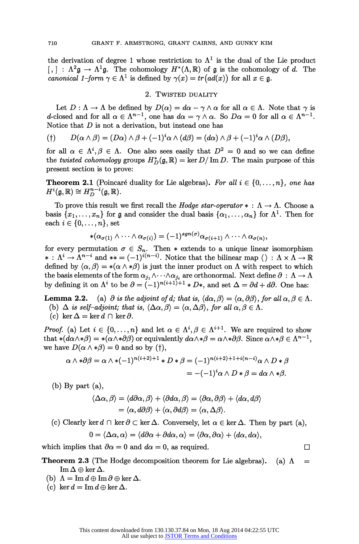the derivation of degree 1 whose restriction to  $\Lambda^1$  is the dual of the Lie product  $[ , ] : \Lambda^2 \mathfrak{g} \to \Lambda^1 \mathfrak{g}$ . The cohomology  $H^*(\Lambda, \mathbb{R})$  of  $\mathfrak{g}$  is the cohomology of d. The *canonical 1-form*  $\gamma \in \Lambda^1$  is defined by  $\gamma(x) = tr\big(ad(x)\big)$  for all  $x \in \mathfrak{g}$ .

#### **2. TWISTED DUALITY**

Let  $D : \Lambda \to \Lambda$  be defined by  $D(\alpha) = d\alpha - \gamma \wedge \alpha$  for all  $\alpha \in \Lambda$ . Note that  $\gamma$  is *d***-closed and for all**  $\alpha \in \Lambda^{n-1}$ **, one has**  $d\alpha = \gamma \wedge \alpha$ **. So**  $D\alpha = 0$  **for all**  $\alpha \in \Lambda^{n-1}$ **. Notice that D is not a derivation, but instead one has** 

$$
P(\uparrow) \qquad D(\alpha \wedge \beta) = (D\alpha) \wedge \beta + (-1)^i \alpha \wedge (d\beta) = (d\alpha) \wedge \beta + (-1)^i \alpha \wedge (D\beta),
$$

for all  $\alpha \in \Lambda^i, \beta \in \Lambda$ . One also sees easily that  $D^2 = 0$  and so we can define the *twisted cohomology* groups  $H_D^*(\mathfrak{g}, \mathbb{R}) = \ker D/\operatorname{Im} D$ . The main purpose of this **present section is to prove:** 

**Theorem 2.1** (Poincaré duality for Lie algebras). For all  $i \in \{0, \ldots, n\}$ , one has  $H^{i}(\mathfrak{g}, \mathbb{R}) \cong H^{n-i}_{D}(\mathfrak{g}, \mathbb{R}).$ 

To prove this result we first recall the *Hodge star-operator*  $* : \Lambda \to \Lambda$ . Choose a basis  $\{x_1, \ldots, x_n\}$  for **g** and consider the dual basis  $\{\alpha_1, \ldots, \alpha_n\}$  for  $\Lambda^1$ . Then for each  $i \in \{0, \ldots, n\}$ , set

$$
*(\alpha_{\sigma(1)} \wedge \cdots \wedge \alpha_{\sigma(i)}) = (-1)^{sgn(\sigma)} \alpha_{\sigma(i+1)} \wedge \cdots \wedge \alpha_{\sigma(n)},
$$

for every permutation  $\sigma \in S_n$ . Then  $*$  extends to a unique linear isomorphism  $*$ :  $\Lambda^i \to \Lambda^{n-i}$  and  $** = (-1)^{i(n-i)}$ . Notice that the bilinear map  $\langle \rangle : \Lambda \times \Lambda \to \mathbb{R}$ defined by  $\langle \alpha, \beta \rangle = *(\alpha \wedge * \beta)$  is just the inner product on  $\Lambda$  with respect to which the basis elements of the form  $\alpha_{j_1} \wedge \cdots \wedge \alpha_{j_i}$  are orthonormal. Next define  $\partial : \Lambda \to \Lambda$ by defining it on  $\Lambda^i$  to be  $\partial = (-1)^{n(i+1)+1} * D*$ , and set  $\Delta = \partial d + d\partial$ . One has:

**Lemma 2.2.** (a)  $\partial$  is the adjoint of d; that is,  $\langle d\alpha, \beta \rangle = \langle \alpha, \partial \beta \rangle$ , for all  $\alpha, \beta \in \Lambda$ .

- (b)  $\Delta$  is self-adjoint; that is,  $\langle \Delta \alpha, \beta \rangle = \langle \alpha, \Delta \beta \rangle$ , for all  $\alpha, \beta \in \Lambda$ .
- (c)  $\ker \Delta = \ker d \cap \ker \partial$ .

**Proof.** (a) Let  $i \in \{0, ..., n\}$  and let  $\alpha \in \Lambda^i, \beta \in \Lambda^{i+1}$ . We are required to show that  $*(d\alpha \wedge *\beta) = *(\alpha \wedge *\beta \beta)$  or equivalently  $d\alpha \wedge *\beta = \alpha \wedge *\beta \beta$ . Since  $\alpha \wedge *\beta \in \Lambda^{n-1}$ , we have  $D(\alpha \wedge *\beta) = 0$  and so by (†),

$$
\alpha \wedge * \partial \beta = \alpha \wedge *(-1)^{n(i+2)+1} * D * \beta = (-1)^{n(i+2)+1+i(n-i)} \alpha \wedge D * \beta
$$
  
= -(-1)<sup>i</sup>  $\alpha \wedge D * \beta = d\alpha \wedge * \beta$ .

**(b) By part (a),** 

$$
\langle \Delta \alpha, \beta \rangle = \langle d\partial \alpha, \beta \rangle + \langle \partial d\alpha, \beta \rangle = \langle \partial \alpha, \partial \beta \rangle + \langle d\alpha, d\beta \rangle
$$
  
=  $\langle \alpha, d\partial \beta \rangle + \langle \alpha, \partial d\beta \rangle = \langle \alpha, \Delta \beta \rangle$ .

(c) Clearly ker  $d \cap \text{ker } \partial \subset \text{ker } \Delta$ . Conversely, let  $\alpha \in \text{ker } \Delta$ . Then by part (a),

$$
0 = \langle \Delta \alpha, \alpha \rangle = \langle d\partial \alpha + \partial d\alpha, \alpha \rangle = \langle \partial \alpha, \partial \alpha \rangle + \langle d\alpha, d\alpha \rangle,
$$

which implies that  $\partial \alpha = 0$  and  $d\alpha = 0$ , as required.

**Theorem 2.3** (The Hodge decomposition theorem for Lie algebras). (a)  $\Lambda$  =  $\operatorname{Im}\Delta\oplus\ker\Delta.$ 

- (b)  $\Lambda = \text{Im } d \oplus \text{Im } \partial \oplus \ker \Delta$ .
- (c)  $\ker d = \operatorname{Im} d \oplus \ker \Delta$ .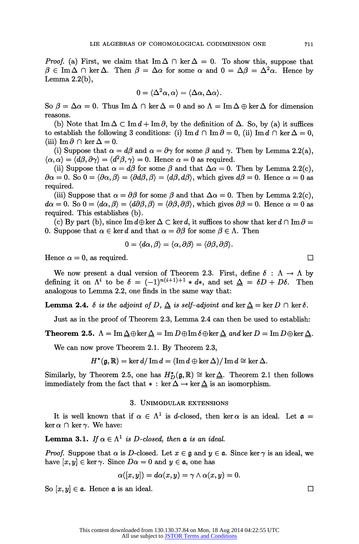**Proof.** (a) First, we claim that  $\text{Im }\Delta \cap \text{ker }\Delta = 0$ . To show this, suppose that  $\beta \in \text{Im }\Delta \cap \text{ker }\Delta$ . Then  $\beta = \Delta \alpha$  for some  $\alpha$  and  $0 = \Delta \beta = \Delta^2 \alpha$ . Hence by **Lemma 2.2(b),** 

$$
0 = \langle \Delta^2 \alpha, \alpha \rangle = \langle \Delta \alpha, \Delta \alpha \rangle.
$$

So  $\beta = \Delta \alpha = 0$ . Thus Im  $\Delta \cap \ker \Delta = 0$  and so  $\Lambda = \text{Im } \Delta \oplus \ker \Delta$  for dimension **reasons.** 

(b) Note that  $\text{Im }\Delta \subset \text{Im }d + \text{Im }\partial$ , by the definition of  $\Delta$ . So, by (a) it suffices to establish the following 3 conditions: (i)  $\text{Im } d \cap \text{Im } \partial = 0$ , (ii)  $\text{Im } d \cap \text{ker } \Delta = 0$ , (iii)  $\text{Im}\,\partial\cap\ker\Delta=0.$ 

(i) Suppose that  $\alpha = d\beta$  and  $\alpha = \partial \gamma$  for some  $\beta$  and  $\gamma$ . Then by Lemma 2.2(a),  $\langle \alpha, \alpha \rangle = \langle d\beta, \partial \gamma \rangle = \langle d^2\beta, \gamma \rangle = 0$ . Hence  $\alpha = 0$  as required.

(ii) Suppose that  $\alpha = d\beta$  for some  $\beta$  and that  $\Delta \alpha = 0$ . Then by Lemma 2.2(c),  $\partial \alpha = 0$ . So  $0 = \langle \partial \alpha, \beta \rangle = \langle \partial d\beta, \beta \rangle = \langle d\beta, d\beta \rangle$ , which gives  $d\beta = 0$ . Hence  $\alpha = 0$  as **required.** 

(iii) Suppose that  $\alpha = \partial \beta$  for some  $\beta$  and that  $\Delta \alpha = 0$ . Then by Lemma 2.2(c),  $d\alpha = 0$ . So  $0 = \langle d\alpha, \beta \rangle = \langle d\partial\beta, \beta \rangle = \langle \partial\beta, \partial\beta \rangle$ , which gives  $\partial\beta = 0$ . Hence  $\alpha = 0$  as **required. This establishes (b).** 

(c) By part (b), since  $\text{Im } d \oplus \text{ker } \Delta \subset \text{ker } d$ , it suffices to show that  $\text{ker } d \cap \text{Im } \partial =$ **0.** Suppose that  $\alpha \in \text{ker } d$  and that  $\alpha = \partial \beta$  for some  $\beta \in \Lambda$ . Then

$$
0=\langle d\alpha,\beta\rangle=\langle\alpha,\partial\beta\rangle=\langle\partial\beta,\partial\beta\rangle.
$$

Hence  $\alpha = 0$ , as required.

We now present a dual version of Theorem 2.3. First, define  $\delta : \Lambda \to \Lambda$  by defining it on  $\Lambda^i$  to be  $\delta = (-1)^{n(i+1)+1} * d*$ , and set  $\Delta = \delta D + D\delta$ . Then **analogous to Lemma 2.2, one finds in the same way that:** 

**Lemma 2.4.**  $\delta$  is the adjoint of  $D$ ,  $\Delta$  is self-adjoint and ker  $\Delta = \ker D \cap \ker \delta$ .

**Just as in the proof of Theorem 2.3, Lemma 2.4 can then be used to establish:** 

**Theorem 2.5.**  $\Lambda = \text{Im}\,\Delta \oplus \ker \Delta = \text{Im}\,D \oplus \text{Im}\,\delta \oplus \ker \Delta$  and ker  $D = \text{Im}\,D \oplus \ker \Delta$ .

**We can now prove Theorem 2.1. By Theorem 2.3,** 

 $H^*(\mathfrak{g}, \mathbb{R}) = \ker d / \operatorname{Im} d = (\operatorname{Im} d \oplus \ker \Delta) / \operatorname{Im} d \cong \ker \Delta.$ 

Similarly, by Theorem 2.5, one has  $H_D^*(\mathfrak{g}, \mathbb{R}) \cong \ker \Delta$ . Theorem 2.1 then follows **immediately from the fact that**  $*$ **: ker**  $\Delta \rightarrow \text{ker } \Delta$  **is an isomorphism.** 

#### **3. UNIMODULAR EXTENSIONS**

It is well known that if  $\alpha \in \Lambda^1$  is d-closed, then ker  $\alpha$  is an ideal. Let  $\alpha =$  $\ker \alpha \cap \ker \gamma$ . We have:

**Lemma 3.1.** If  $\alpha \in \Lambda^1$  is D-closed, then **a** is an ideal.

**Proof.** Suppose that  $\alpha$  is D-closed. Let  $x \in \mathfrak{g}$  and  $y \in \mathfrak{a}$ . Since ker  $\gamma$  is an ideal, we have  $[x, y] \in \text{ker } \gamma$ . Since  $D\alpha = 0$  and  $y \in \mathfrak{a}$ , one has

$$
\alpha([x,y]) = d\alpha(x,y) = \gamma \wedge \alpha(x,y) = 0.
$$

So  $[x, y] \in \mathfrak{a}$ . Hence  $\mathfrak{a}$  is an ideal.

 $\Box$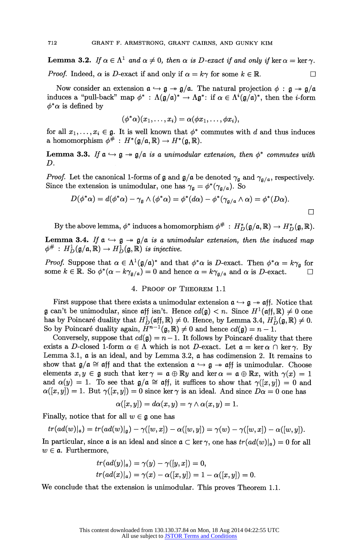**Lemma 3.2.** If  $\alpha \in \Lambda^1$  and  $\alpha \neq 0$ , then  $\alpha$  is D-exact if and only if ker  $\alpha = \ker \gamma$ . *Proof.* Indeed,  $\alpha$  is *D*-exact if and only if  $\alpha = k\gamma$  for some  $k \in \mathbb{R}$ .  $\Box$ 

Now consider an extension  $a \hookrightarrow g \twoheadrightarrow g/a$ . The natural projection  $\phi : g \twoheadrightarrow g/a$ induces a "pull-back" map  $\phi^*$ :  $\Lambda(\mathfrak{g}/\mathfrak{a})^* \to \Lambda \mathfrak{g}^*$ : if  $\alpha \in \Lambda^i(\mathfrak{g}/\mathfrak{a})^*$ , then the *i*-form  $\phi^*\alpha$  is defined by

$$
(\phi^*\alpha)(x_1,\ldots,x_i)=\alpha(\phi x_1,\ldots,\phi x_i),
$$

for all  $x_1, \ldots, x_i \in \mathfrak{g}$ . It is well known that  $\phi^*$  commutes with d and thus induces **a** homomorphism  $\phi^{\#}: H^*(\mathfrak{g}/\mathfrak{a}, \mathbb{R}) \to H^*(\mathfrak{g}, \mathbb{R}).$ 

**Lemma 3.3.** If  $a \rightarrow g \rightarrow g/a$  is a unimodular extension, then  $\phi^*$  commutes with **D.** 

**Proof.** Let the canonical 1-forms of **g** and  $\mathfrak{g}/\mathfrak{a}$  be denoted  $\gamma_{\mathfrak{g}}$  and  $\gamma_{\mathfrak{g}/\mathfrak{a}}$ , respectively. Since the extension is unimodular, one has  $\gamma_{\mathfrak{g}} = \phi^*(\gamma_{\mathfrak{g}/\mathfrak{a}})$ . So

$$
D(\phi^*\alpha) = d(\phi^*\alpha) - \gamma_{\mathfrak{g}} \wedge (\phi^*\alpha) = \phi^*(d\alpha) - \phi^*(\gamma_{\mathfrak{g}/\mathfrak{a}} \wedge \alpha) = \phi^*(D\alpha).
$$

By the above lemma,  $\phi^*$  induces a homomorphism  $\phi^{\#}: H_D^*(\mathfrak{g}/\mathfrak{a}, \mathbb{R}) \to H_D^*(\mathfrak{g}, \mathbb{R}).$ 

**Lemma 3.4.** If  $a \hookrightarrow g \twoheadrightarrow g/a$  is a unimodular extension, then the induced map  $\phi^{\#}: H^1_D(\mathfrak{g}/\mathfrak{a}, \mathbb{R}) \to H^1_D(\mathfrak{g}, \mathbb{R})$  is injective.

**Proof.** Suppose that  $\alpha \in \Lambda^1(\mathfrak{g}/\mathfrak{a})^*$  and that  $\phi^*\alpha$  is D-exact. Then  $\phi^*\alpha = k\gamma_{\mathfrak{a}}$  for some  $k \in \mathbb{R}$ . So  $\phi^*(\alpha - k\gamma_{\mathfrak{g}/\mathfrak{a}}) = 0$  and hence  $\alpha = k\gamma_{\mathfrak{g}/\mathfrak{a}}$  and  $\alpha$  is *D*-exact.

#### **4. PROOF OF THEOREM 1.1**

**First suppose that there exists a unimodular extension**  $a \rightarrow g \rightarrow aff$ **. Notice that g** can't be unimodular, since  $\alpha$ ff isn't. Hence  $cd(\mathfrak{g}) < n$ . Since  $H^1(\alpha f, \mathbb{R}) \neq 0$  one has by Poincaré duality that  $H_D^1(\mathfrak{aff}, \mathbb{R}) \neq 0$ . Hence, by Lemma 3.4,  $H_D^1(\mathfrak{g}, \mathbb{R}) \neq 0$ . So by Poincaré duality again,  $\bar{H}^{n-1}(\mathfrak{g}, \mathbb{R}) \neq 0$  and hence  $cd(\mathfrak{g}) = n - 1$ .

Conversely, suppose that  $cd(\mathfrak{g}) = n-1$ . It follows by Poincaré duality that there **exists a D-closed 1-form**  $\alpha \in \Lambda$  **which is not D-exact.** Let  $\mathfrak{a} = \ker \alpha \cap \ker \gamma$ . By Lemma 3.1,  $\alpha$  is an ideal, and by Lemma 3.2,  $\alpha$  has codimension 2. It remains to show that  $\mathfrak{g}/\mathfrak{a} \cong \mathfrak{af}$  and that the extension  $\mathfrak{a} \hookrightarrow \mathfrak{g} \rightarrow \mathfrak{af}$  is unimodular. Choose **elements**  $x, y \in \mathfrak{g}$  such that ker  $\gamma = \mathfrak{a} \oplus \mathbb{R}y$  and ker  $\alpha = \mathfrak{a} \oplus \mathbb{R}x$ , with  $\gamma(x) = 1$ and  $\alpha(y) = 1$ . To see that  $\beta/\alpha \cong \alpha$ ff, it suffices to show that  $\gamma([x,y]) = 0$  and  $\alpha([x, y]) = 1$ . But  $\gamma([x, y]) = 0$  since ker  $\gamma$  is an ideal. And since  $D\alpha = 0$  one has

$$
\alpha([x,y]) = d\alpha(x,y) = \gamma \wedge \alpha(x,y) = 1.
$$

**Finally, notice that for all**  $w \in \mathfrak{g}$  **one has** 

$$
tr(ad(w)|_{\mathfrak{a}})=tr(ad(w)|_{\mathfrak{g}})-\gamma([w,x])-\alpha([w,y])=\gamma(w)-\gamma([w,x])-\alpha([w,y]).
$$

In particular, since **a** is an ideal and since  $\mathfrak{a} \subset \ker \gamma$ , one has  $tr(\mathrm{ad}(w)|_{\mathfrak{a}}) = 0$  for all  $w \in \mathfrak{a}$ . Furthermore,

$$
tr(ad(y)|_a)=\gamma(y)-\gamma([y,x])=0,
$$
  

$$
tr(ad(x)|_a)=\gamma(x)-\alpha([x,y])=1-\alpha([x,y])=0.
$$

**We conclude that the extension is unimodular. This proves Theorem 1.1.**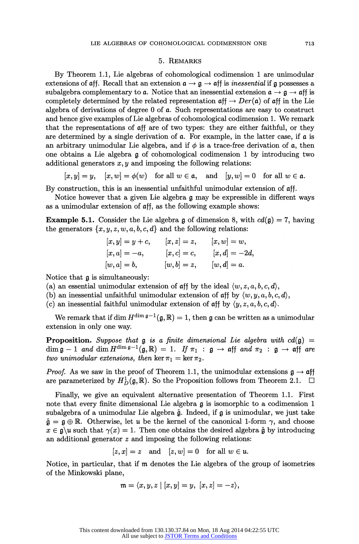#### **5. REMARKS**

**By Theorem 1.1, Lie algebras of cohomological codimension 1 are unimodular extensions of aff.** Recall that an extension  $\mathfrak{a} \rightarrow \mathfrak{a} \rightarrow \mathfrak{aff}$  is *inessential* if **q** possesses a subalgebra complementary to **a**. Notice that an inessential extension  $\mathfrak{a} \to \mathfrak{g} \to \mathfrak{aff}$  is completely determined by the related representation  $\pi f \rightarrow Der(\pi)$  of  $\pi f$  in the Lie **algebra of derivations of degree 0 of a. Such representations are easy to construct and hence give examples of Lie algebras of cohomological codimension 1. We remark that the representations of aff are of two types: they are either faithful, or they are determined by a single derivation of a. For example, in the latter case, if a is**  an arbitrary unimodular Lie algebra, and if  $\phi$  is a trace-free derivation of  $\alpha$ , then **one obtains a Lie algebra g of cohomological codimension 1 by introducing two additional generators x, y and imposing the following relations:** 

$$
[x, y] = y, \quad [x, w] = \phi(w) \quad \text{for all } w \in \mathfrak{a}, \quad \text{and} \quad [y, w] = 0 \quad \text{for all } w \in \mathfrak{a}.
$$

**By construction, this is an inessential unfaithful unimodular extension of aff.** 

**Notice however that a given Lie algebra g may be expressible in different ways as a unimodular extension of aff, as the following example shows:** 

**Example 5.1.** Consider the Lie algebra **g** of dimension 8, with  $cd(\mathfrak{g}) = 7$ , having the generators  $\{x, y, z, w, a, b, c, d\}$  and the following relations:

$$
[x, y] = y + c, \t [x, z] = z, \t [x, w] = w,[x, a] = -a, \t [x, c] = c, \t [x, d] = -2d,[w, a] = b, \t [w, b] = z, \t [w, d] = a.
$$

**Notice that g is simultaneously:** 

- (a) an essential unimodular extension of  $\alpha$ ff by the ideal  $\langle w, z, a, b, c, d \rangle$ ,
- (b) an inessential unfaithful unimodular extension of  $\alpha$ ff by  $\langle w, y, a, b, c, d \rangle$ ,
- (c) an inessential faithful unimodular extension of  $\alpha$ ff by  $\langle y, z, a, b, c, d \rangle$ .

We remark that if dim  $H^{\dim \mathfrak{g}-1}(\mathfrak{g}, \mathbb{R}) = 1$ , then **g** can be written as a unimodular **extension in only one way.** 

**Proposition.** Suppose that  $g$  is a finite dimensional Lie algebra with  $cd(g)$  =  $\dim \mathfrak{g} - 1$  and  $\dim H^{\dim \mathfrak{g}-1}(\mathfrak{g}, \mathbb{R}) = 1$ . If  $\pi_1 : \mathfrak{g} \to \mathfrak{aff}$  and  $\pi_2 : \mathfrak{g} \to \mathfrak{aff}$  are *two unimodular extensions, then*  $\ker \pi_1 = \ker \pi_2$ .

**Proof.** As we saw in the proof of Theorem 1.1, the unimodular extensions  $\mathbf{g} \rightarrow \mathbf{aff}$ are parameterized by  $H_D^1(\mathfrak{g}, \mathbb{R})$ . So the Proposition follows from Theorem 2.1.  $\Box$ 

**Finally, we give an equivalent alternative presentation of Theorem 1.1. First note that every finite dimensional Lie algebra g is isomorphic to a codimension 1 subalgebra of a unimodular Lie algebra . Indeed, if g is unimodular, we just take**   $\hat{\mathfrak{g}} = \mathfrak{g} \oplus \mathbb{R}$ . Otherwise, let u be the kernel of the canonical 1-form  $\gamma$ , and choose  $x \in \mathfrak{g}$  u such that  $\gamma(x) = 1$ . Then one obtains the desired algebra  $\hat{\mathfrak{g}}$  by introducing **an additional generator z and imposing the following relations:** 

$$
[z, x] = z \quad \text{and} \quad [z, w] = 0 \quad \text{for all } w \in \mathfrak{u}.
$$

**Notice, in particular, that if m denotes the Lie algebra of the group of isometrics of the Minkowski plane,** 

$$
\mathfrak{m}=\langle x,y,z\mid [x,y]=y,\ [x,z]=-z\rangle,
$$